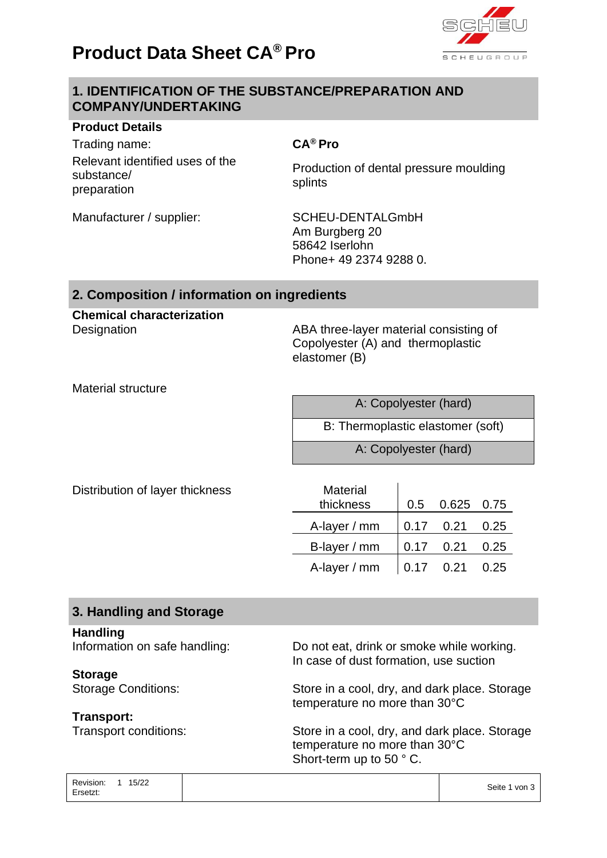# **Product Data Sheet CA® Pro**



# **1. IDENTIFICATION OF THE SUBSTANCE/PREPARATION AND COMPANY/UNDERTAKING**

#### **Product Details**

Trading name: **CA® Pro** Relevant identified uses of the substance/ preparation

Production of dental pressure moulding splints

Manufacturer / supplier: SCHEU-DENTALGmbH Am Burgberg 20 58642 Iserlohn Phone+ 49 2374 9288 0.

## **2. Composition / information on ingredients**

# **Chemical characterization**

Designation **Designation** ABA three-layer material consisting of Copolyester (A) and thermoplastic elastomer (B)

Material structure

| A: Copolyester (hard)             |
|-----------------------------------|
| B: Thermoplastic elastomer (soft) |
| A: Copolyester (hard)             |

Distribution of layer thickness

| <b>Material</b> |     |             |      |
|-----------------|-----|-------------|------|
| thickness       | 0.5 | 0.625 0.75  |      |
| A-layer / mm    |     | $0.17$ 0.21 | 0.25 |
| B-layer / mm    |     | $0.17$ 0.21 | 0.25 |
| A-layer / mm    |     | $0.17$ 0.21 | 0.25 |

# **3. Handling and Storage**

#### **Handling**

**Storage**

### **Transport:**

Information on safe handling: Do not eat, drink or smoke while working. In case of dust formation, use suction

Storage Conditions: Store in a cool, dry, and dark place. Storage temperature no more than 30°C

Transport conditions: Store in a cool, dry, and dark place. Storage temperature no more than 30°C Short-term up to 50 ° C.

| Revision: | 15/22 | Seite 1 von 3 |
|-----------|-------|---------------|
| Ersetzt:  |       |               |
|           |       |               |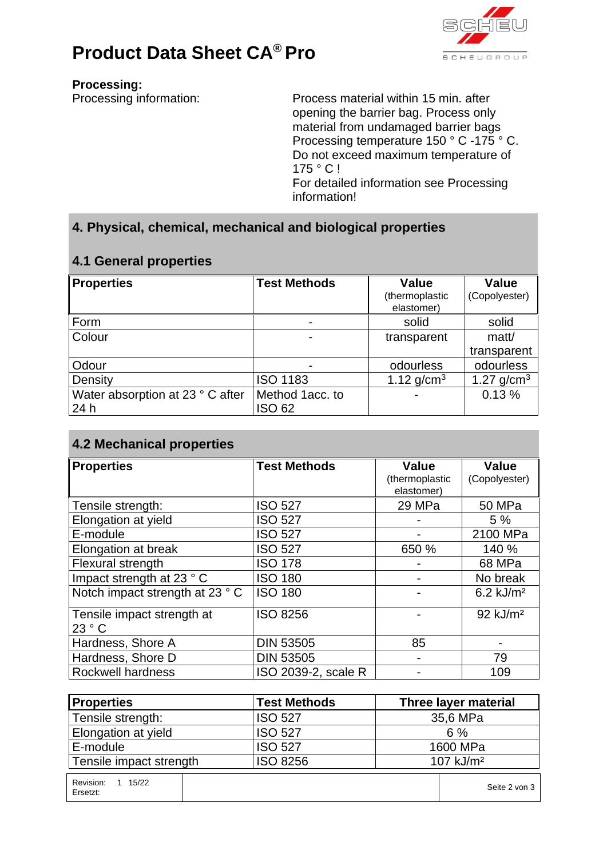



**Processing:**

Processing information: Process material within 15 min. after opening the barrier bag. Process only material from undamaged barrier bags Processing temperature 150 ° C -175 ° C. Do not exceed maximum temperature of 175 ° C ! For detailed information see Processing information!

# **4. Physical, chemical, mechanical and biological properties**

# **4.1 General properties**

| <b>Properties</b>                | <b>Test Methods</b> | <b>Value</b><br>(thermoplastic | <b>Value</b><br>(Copolyester) |
|----------------------------------|---------------------|--------------------------------|-------------------------------|
|                                  |                     | elastomer)                     |                               |
| Form                             | $\blacksquare$      | solid                          | solid                         |
| Colour                           |                     | transparent                    | matt/                         |
|                                  |                     |                                | transparent                   |
| Odour                            |                     | odourless                      | odourless                     |
| Density                          | <b>ISO 1183</b>     | 1.12 $q/cm^{3}$                | 1.27 $q/cm^{3}$               |
| Water absorption at 23 ° C after | Method 1acc. to     |                                | 0.13%                         |
| 24h                              | <b>ISO 62</b>       |                                |                               |

# **4.2 Mechanical properties**

| <b>Properties</b>              | <b>Test Methods</b> | <b>Value</b><br>(thermoplastic<br>elastomer) | <b>Value</b><br>(Copolyester) |
|--------------------------------|---------------------|----------------------------------------------|-------------------------------|
| Tensile strength:              | <b>ISO 527</b>      | 29 MPa                                       | <b>50 MPa</b>                 |
| Elongation at yield            | <b>ISO 527</b>      |                                              | 5%                            |
| E-module                       | <b>ISO 527</b>      |                                              | 2100 MPa                      |
| Elongation at break            | <b>ISO 527</b>      | 650 %                                        | 140 %                         |
| Flexural strength              | <b>ISO 178</b>      |                                              | 68 MPa                        |
| Impact strength at 23 ° C      | <b>ISO 180</b>      |                                              | No break                      |
| Notch impact strength at 23 °C | <b>ISO 180</b>      |                                              | $6.2$ kJ/m <sup>2</sup>       |
| Tensile impact strength at     | <b>ISO 8256</b>     |                                              | 92 kJ/m <sup>2</sup>          |
| 23 °C                          |                     |                                              |                               |
| Hardness, Shore A              | <b>DIN 53505</b>    | 85                                           |                               |
| Hardness, Shore D              | <b>DIN 53505</b>    |                                              | 79                            |
| <b>Rockwell hardness</b>       | ISO 2039-2, scale R |                                              | 109                           |

| <b>Properties</b>                | <b>Test Methods</b> | <b>Three layer material</b> |  |
|----------------------------------|---------------------|-----------------------------|--|
| Tensile strength:                | <b>ISO 527</b>      | 35,6 MPa                    |  |
| Elongation at yield              | <b>ISO 527</b>      | 6%                          |  |
| E-module                         | <b>ISO 527</b>      | 1600 MPa                    |  |
| Tensile impact strength          | <b>ISO 8256</b>     | $107$ kJ/m <sup>2</sup>     |  |
| Revision:<br>1 15/22<br>Ersetzt: |                     | Seite 2 von 3               |  |